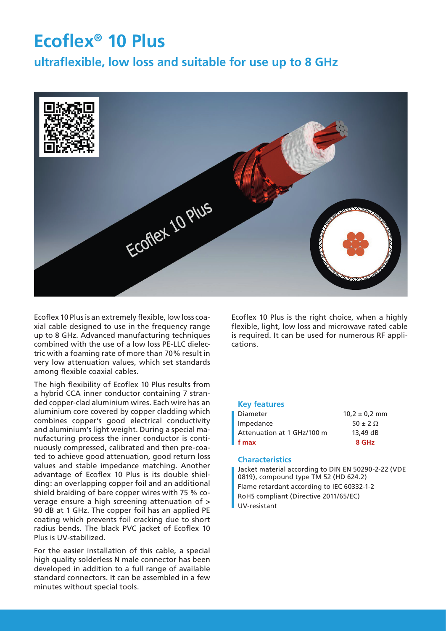# **Ecoflex® 10 Plus**

**ultraflexible, low loss and suitable for use up to 8 GHz**



Ecoflex 10 Plus is an extremely flexible, low loss coaxial cable designed to use in the frequency range up to 8 GHz. Advanced manufacturing techniques combined with the use of a low loss PE-LLC dielectric with a foaming rate of more than 70% result in very low attenuation values, which set standards among flexible coaxial cables.

The high flexibility of Ecoflex 10 Plus results from a hybrid CCA inner conductor containing 7 stranded copper-clad aluminium wires. Each wire has an aluminium core covered by copper cladding which combines copper's good electrical conductivity and aluminium's light weight. During a special manufacturing process the inner conductor is continuously compressed, calibrated and then pre-coated to achieve good attenuation, good return loss values and stable impedance matching. Another advantage of Ecoflex 10 Plus is its double shielding: an overlapping copper foil and an additional shield braiding of bare copper wires with 75 % coverage ensure a high screening attenuation of > 90 dB at 1 GHz. The copper foil has an applied PE coating which prevents foil cracking due to short radius bends. The black PVC jacket of Ecoflex 10 Plus is UV-stabilized.

For the easier installation of this cable, a special high quality solderless N male connector has been developed in addition to a full range of available standard connectors. It can be assembled in a few minutes without special tools.

Ecoflex 10 Plus is the right choice, when a highly flexible, light, low loss and microwave rated cable is required. It can be used for numerous RF applications.

#### **Key features**

| Diameter                   | $10,2 \pm 0.2$ mm |
|----------------------------|-------------------|
| Impedance                  | $50 \pm 2 \Omega$ |
| Attenuation at 1 GHz/100 m | $13.49$ dB        |
| f max                      | 8 GHz             |
|                            |                   |

#### **Characteristics**

Jacket material according to DIN EN 50290-2-22 (VDE 0819), compound type TM 52 (HD 624.2) Flame retardant according to IEC 60332-1-2 RoHS compliant (Directive 2011/65/EC) UV-resistant